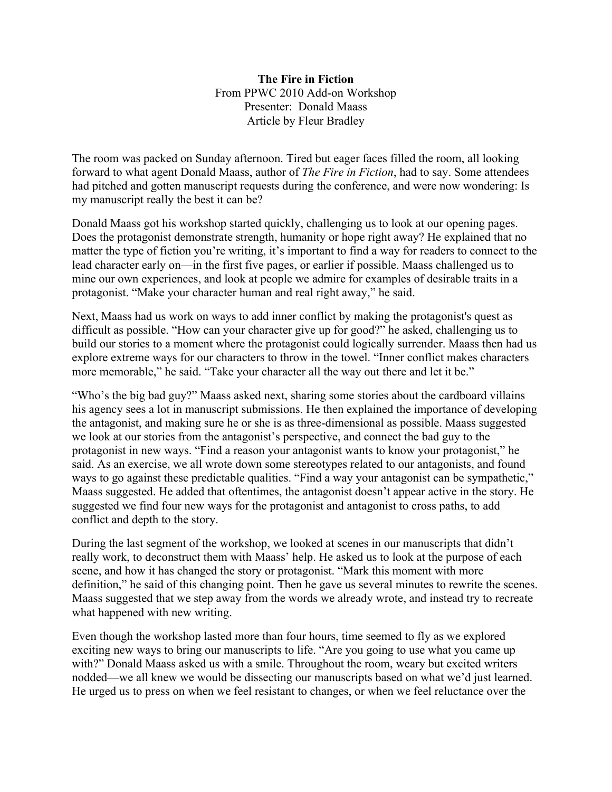## **The Fire in Fiction**  From PPWC 2010 Add-on Workshop Presenter: Donald Maass Article by Fleur Bradley

The room was packed on Sunday afternoon. Tired but eager faces filled the room, all looking forward to what agent Donald Maass, author of *The Fire in Fiction*, had to say. Some attendees had pitched and gotten manuscript requests during the conference, and were now wondering: Is my manuscript really the best it can be?

Donald Maass got his workshop started quickly, challenging us to look at our opening pages. Does the protagonist demonstrate strength, humanity or hope right away? He explained that no matter the type of fiction you're writing, it's important to find a way for readers to connect to the lead character early on—in the first five pages, or earlier if possible. Maass challenged us to mine our own experiences, and look at people we admire for examples of desirable traits in a protagonist. "Make your character human and real right away," he said.

Next, Maass had us work on ways to add inner conflict by making the protagonist's quest as difficult as possible. "How can your character give up for good?" he asked, challenging us to build our stories to a moment where the protagonist could logically surrender. Maass then had us explore extreme ways for our characters to throw in the towel. "Inner conflict makes characters more memorable," he said. "Take your character all the way out there and let it be."

"Who's the big bad guy?" Maass asked next, sharing some stories about the cardboard villains his agency sees a lot in manuscript submissions. He then explained the importance of developing the antagonist, and making sure he or she is as three-dimensional as possible. Maass suggested we look at our stories from the antagonist's perspective, and connect the bad guy to the protagonist in new ways. "Find a reason your antagonist wants to know your protagonist," he said. As an exercise, we all wrote down some stereotypes related to our antagonists, and found ways to go against these predictable qualities. "Find a way your antagonist can be sympathetic," Maass suggested. He added that oftentimes, the antagonist doesn't appear active in the story. He suggested we find four new ways for the protagonist and antagonist to cross paths, to add conflict and depth to the story.

During the last segment of the workshop, we looked at scenes in our manuscripts that didn't really work, to deconstruct them with Maass' help. He asked us to look at the purpose of each scene, and how it has changed the story or protagonist. "Mark this moment with more definition," he said of this changing point. Then he gave us several minutes to rewrite the scenes. Maass suggested that we step away from the words we already wrote, and instead try to recreate what happened with new writing.

Even though the workshop lasted more than four hours, time seemed to fly as we explored exciting new ways to bring our manuscripts to life. "Are you going to use what you came up with?" Donald Maass asked us with a smile. Throughout the room, weary but excited writers nodded—we all knew we would be dissecting our manuscripts based on what we'd just learned. He urged us to press on when we feel resistant to changes, or when we feel reluctance over the